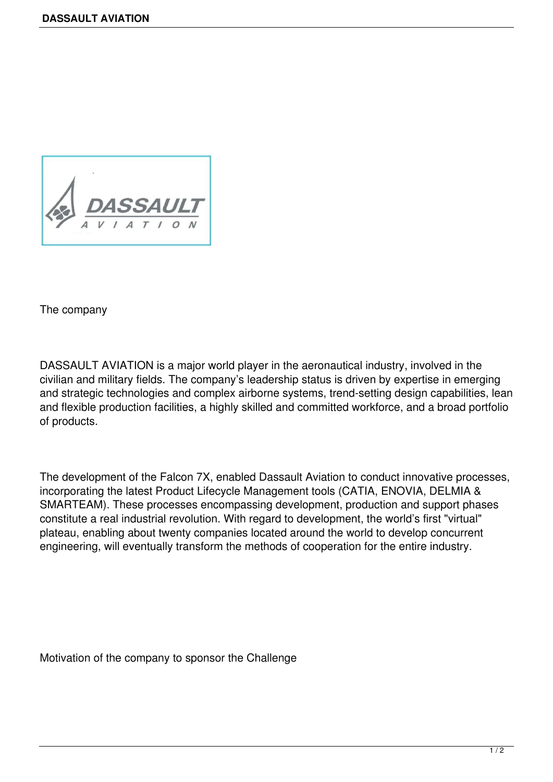

The company

DASSAULT AVIATION is a major world player in the aeronautical industry, involved in the civilian and military fields. The company's leadership status is driven by expertise in emerging and strategic technologies and complex airborne systems, trend-setting design capabilities, lean and flexible production facilities, a highly skilled and committed workforce, and a broad portfolio of products.

The development of the Falcon 7X, enabled Dassault Aviation to conduct innovative processes, incorporating the latest Product Lifecycle Management tools (CATIA, ENOVIA, DELMIA & SMARTEAM). These processes encompassing development, production and support phases constitute a real industrial revolution. With regard to development, the world's first "virtual" plateau, enabling about twenty companies located around the world to develop concurrent engineering, will eventually transform the methods of cooperation for the entire industry.

Motivation of the company to sponsor the Challenge